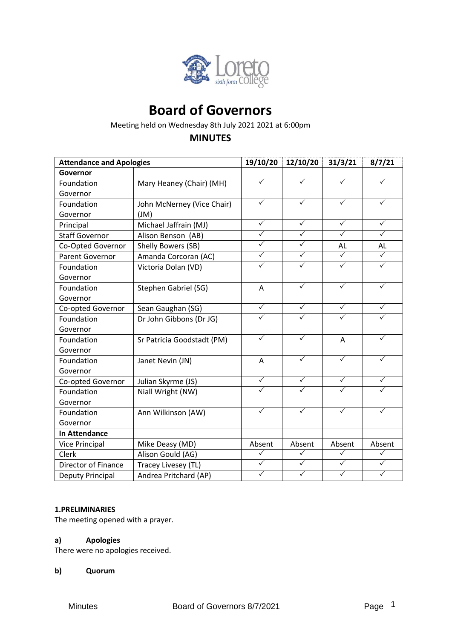

# **Board of Governors**

Meeting held on Wednesday 8th July 2021 2021 at 6:00pm

# **MINUTES**

| <b>Attendance and Apologies</b> |                            | 19/10/20                | 12/10/20     | 31/3/21      | 8/7/21       |
|---------------------------------|----------------------------|-------------------------|--------------|--------------|--------------|
| Governor                        |                            |                         |              |              |              |
| Foundation                      | Mary Heaney (Chair) (MH)   | $\checkmark$            | ✓            | ✓            | ✓            |
| Governor                        |                            |                         |              |              |              |
| Foundation                      | John McNerney (Vice Chair) | $\checkmark$            | $\checkmark$ | $\checkmark$ | $\checkmark$ |
| Governor                        | J(M)                       |                         |              |              |              |
| Principal                       | Michael Jaffrain (MJ)      | $\checkmark$            | $\checkmark$ | $\checkmark$ | $\checkmark$ |
| <b>Staff Governor</b>           | Alison Benson (AB)         | $\checkmark$            | $\checkmark$ | $\checkmark$ | $\checkmark$ |
| Co-Opted Governor               | Shelly Bowers (SB)         | $\overline{\checkmark}$ | $\checkmark$ | AL           | AL           |
| Parent Governor                 | Amanda Corcoran (AC)       | $\checkmark$            | $\checkmark$ | $\checkmark$ | $\checkmark$ |
| Foundation                      | Victoria Dolan (VD)        | $\checkmark$            | $\checkmark$ | ✓            | $\checkmark$ |
| Governor                        |                            |                         |              |              |              |
| Foundation                      | Stephen Gabriel (SG)       | Α                       | $\checkmark$ | $\checkmark$ | $\checkmark$ |
| Governor                        |                            |                         |              |              |              |
| Co-opted Governor               | Sean Gaughan (SG)          | $\checkmark$            | $\checkmark$ | $\checkmark$ | $\checkmark$ |
| Foundation                      | Dr John Gibbons (Dr JG)    | $\checkmark$            | ✓            |              |              |
| Governor                        |                            |                         |              |              |              |
| Foundation                      | Sr Patricia Goodstadt (PM) | $\checkmark$            | $\checkmark$ | A            | ✓            |
| Governor                        |                            |                         |              |              |              |
| Foundation                      | Janet Nevin (JN)           | A                       | $\checkmark$ | ✓            | ✓            |
| Governor                        |                            |                         |              |              |              |
| Co-opted Governor               | Julian Skyrme (JS)         | $\checkmark$            | ✓            | $\checkmark$ | ✓            |
| Foundation                      | Niall Wright (NW)          | $\checkmark$            | $\checkmark$ | $\checkmark$ | ✓            |
| Governor                        |                            |                         |              |              |              |
| Foundation                      | Ann Wilkinson (AW)         | $\checkmark$            | $\checkmark$ | $\checkmark$ | $\checkmark$ |
| Governor                        |                            |                         |              |              |              |
| <b>In Attendance</b>            |                            |                         |              |              |              |
| Vice Principal                  | Mike Deasy (MD)            | Absent                  | Absent       | Absent       | Absent       |
| Clerk                           | Alison Gould (AG)          | $\checkmark$            | ✓            | ✓            | $\checkmark$ |
| Director of Finance             | Tracey Livesey (TL)        | $\checkmark$            | $\checkmark$ | $\checkmark$ | $\checkmark$ |
| Deputy Principal                | Andrea Pritchard (AP)      | $\checkmark$            | $\checkmark$ | $\checkmark$ | $\checkmark$ |

## **1.PRELIMINARIES**

The meeting opened with a prayer.

## **a) Apologies**

There were no apologies received.

**b) Quorum**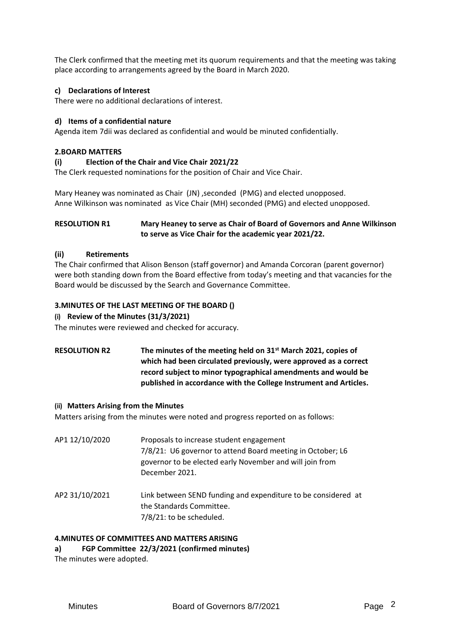The Clerk confirmed that the meeting met its quorum requirements and that the meeting was taking place according to arrangements agreed by the Board in March 2020.

## **c) Declarations of Interest**

There were no additional declarations of interest.

## **d) Items of a confidential nature**

Agenda item 7dii was declared as confidential and would be minuted confidentially.

#### **2.BOARD MATTERS**

#### **(i) Election of the Chair and Vice Chair 2021/22**

The Clerk requested nominations for the position of Chair and Vice Chair.

Mary Heaney was nominated as Chair (JN), seconded (PMG) and elected unopposed. Anne Wilkinson was nominated as Vice Chair (MH) seconded (PMG) and elected unopposed.

## **RESOLUTION R1 Mary Heaney to serve as Chair of Board of Governors and Anne Wilkinson to serve as Vice Chair for the academic year 2021/22.**

#### **(ii) Retirements**

The Chair confirmed that Alison Benson (staff governor) and Amanda Corcoran (parent governor) were both standing down from the Board effective from today's meeting and that vacancies for the Board would be discussed by the Search and Governance Committee.

#### **3.MINUTES OF THE LAST MEETING OF THE BOARD ()**

#### **(i) Review of the Minutes (31/3/2021)**

The minutes were reviewed and checked for accuracy.

**RESOLUTION R2 The minutes of the meeting held on 31st March 2021, copies of which had been circulated previously, were approved as a correct record subject to minor typographical amendments and would be published in accordance with the College Instrument and Articles.** 

#### **(ii) Matters Arising from the Minutes**

Matters arising from the minutes were noted and progress reported on as follows:

| AP1 12/10/2020 | Proposals to increase student engagement<br>7/8/21: U6 governor to attend Board meeting in October; L6<br>governor to be elected early November and will join from<br>December 2021. |
|----------------|--------------------------------------------------------------------------------------------------------------------------------------------------------------------------------------|
| AP2 31/10/2021 | Link between SEND funding and expenditure to be considered at<br>the Standards Committee.                                                                                            |

7/8/21: to be scheduled.

## **4.MINUTES OF COMMITTEES AND MATTERS ARISING**

**a) FGP Committee 22/3/2021 (confirmed minutes)**

The minutes were adopted.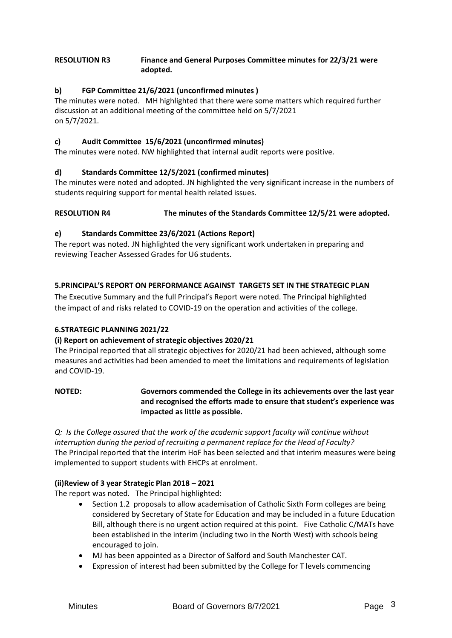## **RESOLUTION R3 Finance and General Purposes Committee minutes for 22/3/21 were adopted.**

# **b) FGP Committee 21/6/2021 (unconfirmed minutes )**

The minutes were noted. MH highlighted that there were some matters which required further discussion at an additional meeting of the committee held on 5/7/2021 on 5/7/2021.

# **c) Audit Committee 15/6/2021 (unconfirmed minutes)**

The minutes were noted. NW highlighted that internal audit reports were positive.

# **d) Standards Committee 12/5/2021 (confirmed minutes)**

The minutes were noted and adopted. JN highlighted the very significant increase in the numbers of students requiring support for mental health related issues.

# **RESOLUTION R4 The minutes of the Standards Committee 12/5/21 were adopted.**

# **e) Standards Committee 23/6/2021 (Actions Report)**

The report was noted. JN highlighted the very significant work undertaken in preparing and reviewing Teacher Assessed Grades for U6 students.

# **5.PRINCIPAL'S REPORT ON PERFORMANCE AGAINST TARGETS SET IN THE STRATEGIC PLAN**

The Executive Summary and the full Principal's Report were noted. The Principal highlighted the impact of and risks related to COVID-19 on the operation and activities of the college.

# **6.STRATEGIC PLANNING 2021/22**

## **(i) Report on achievement of strategic objectives 2020/21**

The Principal reported that all strategic objectives for 2020/21 had been achieved, although some measures and activities had been amended to meet the limitations and requirements of legislation and COVID-19.

# **NOTED: Governors commended the College in its achievements over the last year and recognised the efforts made to ensure that student's experience was impacted as little as possible.**

*Q: Is the College assured that the work of the academic support faculty will continue without interruption during the period of recruiting a permanent replace for the Head of Faculty?*  The Principal reported that the interim HoF has been selected and that interim measures were being implemented to support students with EHCPs at enrolment.

## **(ii)Review of 3 year Strategic Plan 2018 – 2021**

The report was noted. The Principal highlighted:

- Section 1.2 proposals to allow academisation of Catholic Sixth Form colleges are being considered by Secretary of State for Education and may be included in a future Education Bill, although there is no urgent action required at this point. Five Catholic C/MATs have been established in the interim (including two in the North West) with schools being encouraged to join.
- MJ has been appointed as a Director of Salford and South Manchester CAT.
- Expression of interest had been submitted by the College for T levels commencing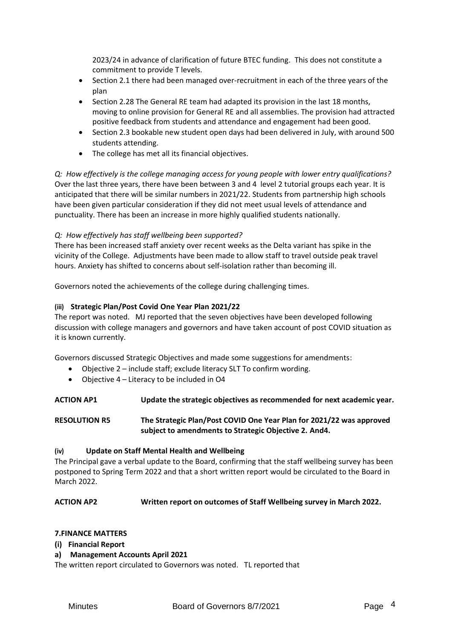2023/24 in advance of clarification of future BTEC funding. This does not constitute a commitment to provide T levels.

- Section 2.1 there had been managed over-recruitment in each of the three years of the plan
- Section 2.28 The General RE team had adapted its provision in the last 18 months, moving to online provision for General RE and all assemblies. The provision had attracted positive feedback from students and attendance and engagement had been good.
- Section 2.3 bookable new student open days had been delivered in July, with around 500 students attending.
- The college has met all its financial objectives.

*Q: How effectively is the college managing access for young people with lower entry qualifications?*  Over the last three years, there have been between 3 and 4 level 2 tutorial groups each year. It is anticipated that there will be similar numbers in 2021/22. Students from partnership high schools have been given particular consideration if they did not meet usual levels of attendance and punctuality. There has been an increase in more highly qualified students nationally.

# *Q: How effectively has staff wellbeing been supported?*

There has been increased staff anxiety over recent weeks as the Delta variant has spike in the vicinity of the College. Adjustments have been made to allow staff to travel outside peak travel hours. Anxiety has shifted to concerns about self-isolation rather than becoming ill.

Governors noted the achievements of the college during challenging times.

## **(iii) Strategic Plan/Post Covid One Year Plan 2021/22**

The report was noted. MJ reported that the seven objectives have been developed following discussion with college managers and governors and have taken account of post COVID situation as it is known currently.

Governors discussed Strategic Objectives and made some suggestions for amendments:

- Objective 2 include staff; exclude literacy SLT To confirm wording.
- Objective 4 Literacy to be included in O4

**ACTION AP1 Update the strategic objectives as recommended for next academic year.** 

**RESOLUTION R5 The Strategic Plan/Post COVID One Year Plan for 2021/22 was approved subject to amendments to Strategic Objective 2. And4.**

## **(iv) Update on Staff Mental Health and Wellbeing**

The Principal gave a verbal update to the Board, confirming that the staff wellbeing survey has been postponed to Spring Term 2022 and that a short written report would be circulated to the Board in March 2022.

# **ACTION AP2 Written report on outcomes of Staff Wellbeing survey in March 2022.**

## **7.FINANCE MATTERS**

- **(i) Financial Report**
- **a) Management Accounts April 2021**

The written report circulated to Governors was noted. TL reported that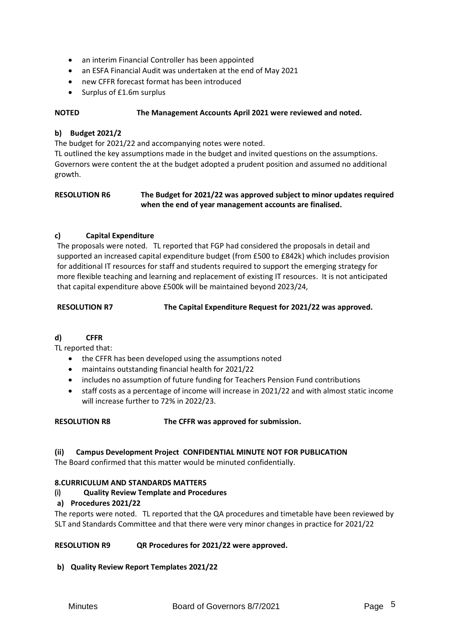- an interim Financial Controller has been appointed
- an ESFA Financial Audit was undertaken at the end of May 2021
- new CFFR forecast format has been introduced
- Surplus of £1.6m surplus

## **NOTED The Management Accounts April 2021 were reviewed and noted.**

## **b) Budget 2021/2**

The budget for 2021/22 and accompanying notes were noted.

TL outlined the key assumptions made in the budget and invited questions on the assumptions. Governors were content the at the budget adopted a prudent position and assumed no additional growth.

## **RESOLUTION R6 The Budget for 2021/22 was approved subject to minor updates required when the end of year management accounts are finalised.**

## **c) Capital Expenditure**

The proposals were noted. TL reported that FGP had considered the proposals in detail and supported an increased capital expenditure budget (from £500 to £842k) which includes provision for additional IT resources for staff and students required to support the emerging strategy for more flexible teaching and learning and replacement of existing IT resources. It is not anticipated that capital expenditure above £500k will be maintained beyond 2023/24,

**RESOLUTION R7 The Capital Expenditure Request for 2021/22 was approved.** 

# **d) CFFR**

TL reported that:

- the CFFR has been developed using the assumptions noted
- maintains outstanding financial health for 2021/22
- includes no assumption of future funding for Teachers Pension Fund contributions
- staff costs as a percentage of income will increase in 2021/22 and with almost static income will increase further to 72% in 2022/23.

## **RESOLUTION R8 The CFFR was approved for submission.**

## **(ii) Campus Development Project CONFIDENTIAL MINUTE NOT FOR PUBLICATION**

The Board confirmed that this matter would be minuted confidentially.

## **8.CURRICULUM AND STANDARDS MATTERS**

**(i) Quality Review Template and Procedures**

## **a) Procedures 2021/22**

The reports were noted. TL reported that the QA procedures and timetable have been reviewed by SLT and Standards Committee and that there were very minor changes in practice for 2021/22

## **RESOLUTION R9 QR Procedures for 2021/22 were approved.**

**b) Quality Review Report Templates 2021/22**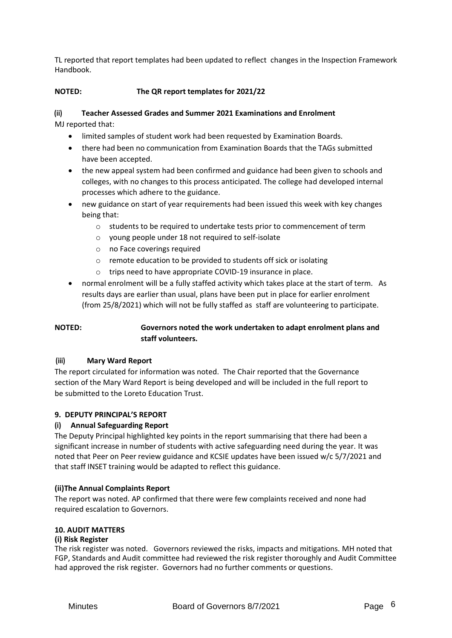TL reported that report templates had been updated to reflect changes in the Inspection Framework Handbook.

# **NOTED: The QR report templates for 2021/22**

# **(ii) Teacher Assessed Grades and Summer 2021 Examinations and Enrolment**

MJ reported that:

- limited samples of student work had been requested by Examination Boards.
- there had been no communication from Examination Boards that the TAGs submitted have been accepted.
- the new appeal system had been confirmed and guidance had been given to schools and colleges, with no changes to this process anticipated. The college had developed internal processes which adhere to the guidance.
- new guidance on start of year requirements had been issued this week with key changes being that:
	- o students to be required to undertake tests prior to commencement of term
	- o young people under 18 not required to self-isolate
	- o no Face coverings required
	- o remote education to be provided to students off sick or isolating
	- o trips need to have appropriate COVID-19 insurance in place.
- normal enrolment will be a fully staffed activity which takes place at the start of term. As results days are earlier than usual, plans have been put in place for earlier enrolment (from 25/8/2021) which will not be fully staffed as staff are volunteering to participate.

# **NOTED: Governors noted the work undertaken to adapt enrolment plans and staff volunteers.**

# **(iii) Mary Ward Report**

The report circulated for information was noted. The Chair reported that the Governance section of the Mary Ward Report is being developed and will be included in the full report to be submitted to the Loreto Education Trust.

# **9. DEPUTY PRINCIPAL'S REPORT**

# **(i) Annual Safeguarding Report**

The Deputy Principal highlighted key points in the report summarising that there had been a significant increase in number of students with active safeguarding need during the year. It was noted that Peer on Peer review guidance and KCSIE updates have been issued w/c 5/7/2021 and that staff INSET training would be adapted to reflect this guidance.

## **(ii)The Annual Complaints Report**

The report was noted. AP confirmed that there were few complaints received and none had required escalation to Governors.

# **10. AUDIT MATTERS**

## **(i) Risk Register**

The risk register was noted. Governors reviewed the risks, impacts and mitigations. MH noted that FGP, Standards and Audit committee had reviewed the risk register thoroughly and Audit Committee had approved the risk register. Governors had no further comments or questions.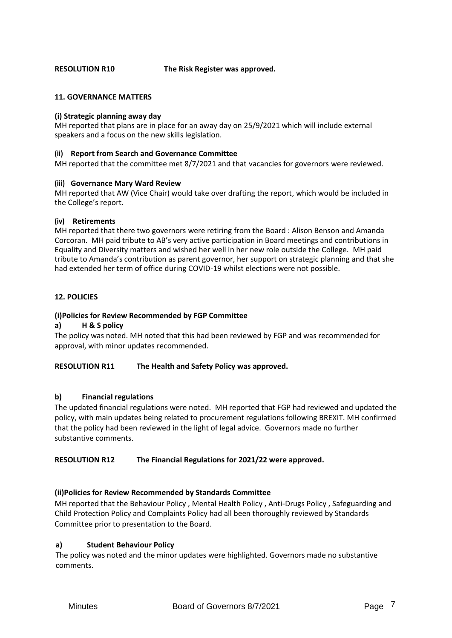**RESOLUTION R10 The Risk Register was approved.** 

#### **11. GOVERNANCE MATTERS**

#### **(i) Strategic planning away day**

MH reported that plans are in place for an away day on 25/9/2021 which will include external speakers and a focus on the new skills legislation.

#### **(ii) Report from Search and Governance Committee**

MH reported that the committee met 8/7/2021 and that vacancies for governors were reviewed.

#### **(iii) Governance Mary Ward Review**

MH reported that AW (Vice Chair) would take over drafting the report, which would be included in the College's report.

#### **(iv) Retirements**

MH reported that there two governors were retiring from the Board : Alison Benson and Amanda Corcoran. MH paid tribute to AB's very active participation in Board meetings and contributions in Equality and Diversity matters and wished her well in her new role outside the College. MH paid tribute to Amanda's contribution as parent governor, her support on strategic planning and that she had extended her term of office during COVID-19 whilst elections were not possible.

## **12. POLICIES**

#### **(i)Policies for Review Recommended by FGP Committee**

## **a) H & S policy**

The policy was noted. MH noted that this had been reviewed by FGP and was recommended for approval, with minor updates recommended.

#### **RESOLUTION R11 The Health and Safety Policy was approved.**

#### **b) Financial regulations**

The updated financial regulations were noted. MH reported that FGP had reviewed and updated the policy, with main updates being related to procurement regulations following BREXIT. MH confirmed that the policy had been reviewed in the light of legal advice. Governors made no further substantive comments.

## **RESOLUTION R12 The Financial Regulations for 2021/22 were approved.**

#### **(ii)Policies for Review Recommended by Standards Committee**

MH reported that the Behaviour Policy , Mental Health Policy , Anti-Drugs Policy , Safeguarding and Child Protection Policy and Complaints Policy had all been thoroughly reviewed by Standards Committee prior to presentation to the Board.

## **a) Student Behaviour Policy**

The policy was noted and the minor updates were highlighted. Governors made no substantive comments.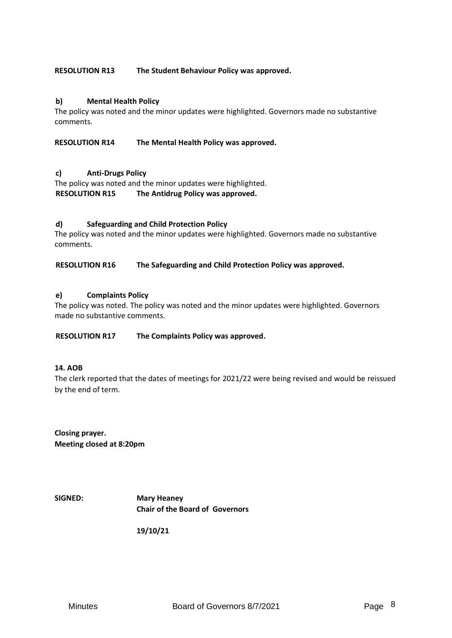## **RESOLUTION R13 The Student Behaviour Policy was approved.**

## **b) Mental Health Policy**

The policy was noted and the minor updates were highlighted. Governors made no substantive comments.

**RESOLUTION R14 The Mental Health Policy was approved.** 

#### **c) Anti-Drugs Policy**

The policy was noted and the minor updates were highlighted. **RESOLUTION R15 The Antidrug Policy was approved.** 

#### **d) Safeguarding and Child Protection Policy**

The policy was noted and the minor updates were highlighted. Governors made no substantive comments.

**RESOLUTION R16 The Safeguarding and Child Protection Policy was approved.** 

#### **e) Complaints Policy**

The policy was noted. The policy was noted and the minor updates were highlighted. Governors made no substantive comments.

**RESOLUTION R17 The Complaints Policy was approved.** 

#### **14. AOB**

The clerk reported that the dates of meetings for 2021/22 were being revised and would be reissued by the end of term.

**Closing prayer. Meeting closed at 8:20pm**

**SIGNED: Mary Heaney Chair of the Board of Governors** 

**19/10/21**